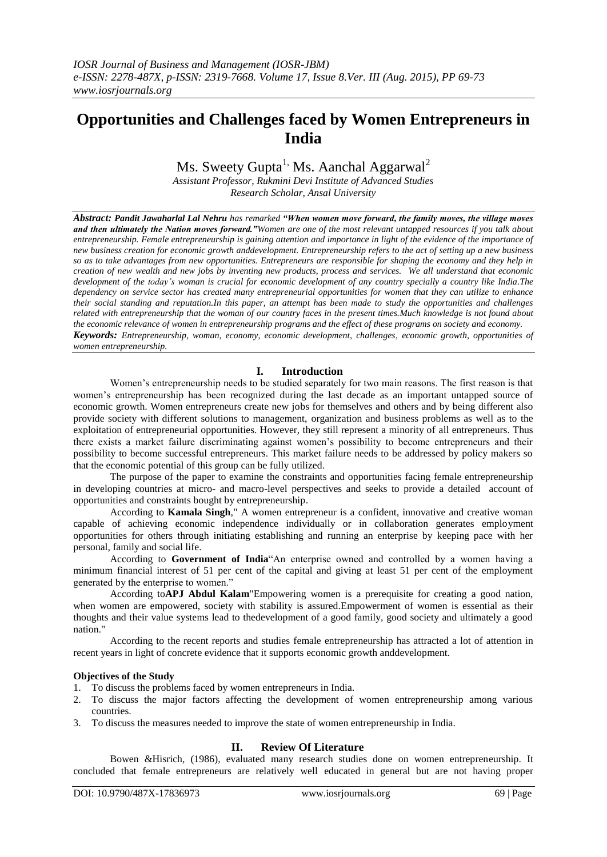# **Opportunities and Challenges faced by Women Entrepreneurs in India**

Ms. Sweety Gupta<sup>1,</sup> Ms. Aanchal Aggarwal<sup>2</sup>

*Assistant Professor, Rukmini Devi Institute of Advanced Studies Research Scholar, Ansal University*

*Abstract: Pandit Jawaharlal Lal Nehru has remarked "When women move forward, the family moves, the village moves and then ultimately the Nation moves forward."Women are one of the most relevant untapped resources if you talk about* entrepreneurship. Female entrepreneurship is gaining attention and importance in light of the evidence of the importance of *new business creation for economic growth anddevelopment. Entrepreneurship refers to the act of setting up a new business so as to take advantages from new opportunities. Entrepreneurs are responsible for shaping the economy and they help in creation of new wealth and new jobs by inventing new products, process and services. We all understand that economic development of the today's woman is crucial for economic development of any country specially a country like India.The dependency on service sector has created many entrepreneurial opportunities for women that they can utilize to enhance their social standing and reputation.In this paper, an attempt has been made to study the opportunities and challenges related with entrepreneurship that the woman of our country faces in the present times.Much knowledge is not found about the economic relevance of women in entrepreneurship programs and the effect of these programs on society and economy. Keywords: Entrepreneurship, woman, economy, economic development, challenges, economic growth, opportunities of women entrepreneurship.*

## **I. Introduction**

Women's entrepreneurship needs to be studied separately for two main reasons. The first reason is that women's entrepreneurship has been recognized during the last decade as an important untapped source of economic growth. Women entrepreneurs create new jobs for themselves and others and by being different also provide society with different solutions to management, organization and business problems as well as to the exploitation of entrepreneurial opportunities. However, they still represent a minority of all entrepreneurs. Thus there exists a market failure discriminating against women's possibility to become entrepreneurs and their possibility to become successful entrepreneurs. This market failure needs to be addressed by policy makers so that the economic potential of this group can be fully utilized.

The purpose of the paper to examine the constraints and opportunities facing female entrepreneurship in developing countries at micro- and macro-level perspectives and seeks to provide a detailed account of opportunities and constraints bought by entrepreneurship.

According to **Kamala Singh**," A women entrepreneur is a confident, innovative and creative woman capable of achieving economic independence individually or in collaboration generates employment opportunities for others through initiating establishing and running an enterprise by keeping pace with her personal, family and social life.

According to Government of India<sup>"</sup>An enterprise owned and controlled by a women having a minimum financial interest of 51 per cent of the capital and giving at least 51 per cent of the employment generated by the enterprise to women."

According to**APJ Abdul Kalam**"Empowering women is a prerequisite for creating a good nation, when women are empowered, society with stability is assured.Empowerment of women is essential as their thoughts and their value systems lead to thedevelopment of a good family, good society and ultimately a good nation."

According to the recent reports and studies female entrepreneurship has attracted a lot of attention in recent years in light of concrete evidence that it supports economic growth anddevelopment.

## **Objectives of the Study**

- 1. To discuss the problems faced by women entrepreneurs in India.
- 2. To discuss the major factors affecting the development of women entrepreneurship among various countries.
- 3. To discuss the measures needed to improve the state of women entrepreneurship in India.

## **II. Review Of Literature**

Bowen &Hisrich, (1986), evaluated many research studies done on women entrepreneurship. It concluded that female entrepreneurs are relatively well educated in general but are not having proper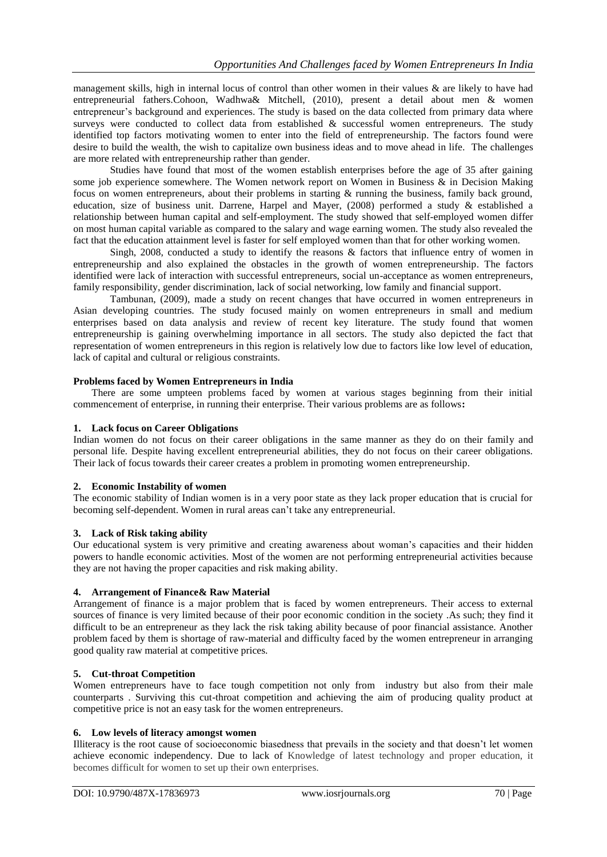management skills, high in internal locus of control than other women in their values & are likely to have had entrepreneurial fathers.Cohoon, Wadhwa& Mitchell, (2010), present a detail about men & women entrepreneur's background and experiences. The study is based on the data collected from primary data where surveys were conducted to collect data from established & successful women entrepreneurs. The study identified top factors motivating women to enter into the field of entrepreneurship. The factors found were desire to build the wealth, the wish to capitalize own business ideas and to move ahead in life. The challenges are more related with entrepreneurship rather than gender.

Studies have found that most of the women establish enterprises before the age of 35 after gaining some job experience somewhere. The Women network report on Women in Business  $\&$  in Decision Making focus on women entrepreneurs, about their problems in starting & running the business, family back ground, education, size of business unit. Darrene, Harpel and Mayer, (2008) performed a study & established a relationship between human capital and self-employment. The study showed that self-employed women differ on most human capital variable as compared to the salary and wage earning women. The study also revealed the fact that the education attainment level is faster for self employed women than that for other working women.

Singh, 2008, conducted a study to identify the reasons & factors that influence entry of women in entrepreneurship and also explained the obstacles in the growth of women entrepreneurship. The factors identified were lack of interaction with successful entrepreneurs, social un-acceptance as women entrepreneurs, family responsibility, gender discrimination, lack of social networking, low family and financial support.

Tambunan, (2009), made a study on recent changes that have occurred in women entrepreneurs in Asian developing countries. The study focused mainly on women entrepreneurs in small and medium enterprises based on data analysis and review of recent key literature. The study found that women entrepreneurship is gaining overwhelming importance in all sectors. The study also depicted the fact that representation of women entrepreneurs in this region is relatively low due to factors like low level of education, lack of capital and cultural or religious constraints.

## **Problems faced by Women Entrepreneurs in India**

There are some umpteen problems faced by women at various stages beginning from their initial commencement of enterprise, in running their enterprise. Their various problems are as follows**:**

#### **1. Lack focus on Career Obligations**

Indian women do not focus on their career obligations in the same manner as they do on their family and personal life. Despite having excellent entrepreneurial abilities, they do not focus on their career obligations. Their lack of focus towards their career creates a problem in promoting women entrepreneurship.

#### **2. Economic Instability of women**

The economic stability of Indian women is in a very poor state as they lack proper education that is crucial for becoming self-dependent. Women in rural areas can't take any entrepreneurial.

#### **3. Lack of Risk taking ability**

Our educational system is very primitive and creating awareness about woman's capacities and their hidden powers to handle economic activities. Most of the women are not performing entrepreneurial activities because they are not having the proper capacities and risk making ability.

## **4. Arrangement of Finance& Raw Material**

Arrangement of finance is a major problem that is faced by women entrepreneurs. Their access to external sources of finance is very limited because of their poor economic condition in the society .As such; they find it difficult to be an entrepreneur as they lack the risk taking ability because of poor financial assistance. Another problem faced by them is shortage of raw-material and difficulty faced by the women entrepreneur in arranging good quality raw material at competitive prices.

## **5. Cut-throat Competition**

Women entrepreneurs have to face tough competition not only from industry but also from their male counterparts . Surviving this cut-throat competition and achieving the aim of producing quality product at competitive price is not an easy task for the women entrepreneurs.

### **6. Low levels of literacy amongst women**

Illiteracy is the root cause of socioeconomic biasedness that prevails in the society and that doesn't let women achieve economic independency. Due to lack of Knowledge of latest technology and proper education, it becomes difficult for women to set up their own enterprises.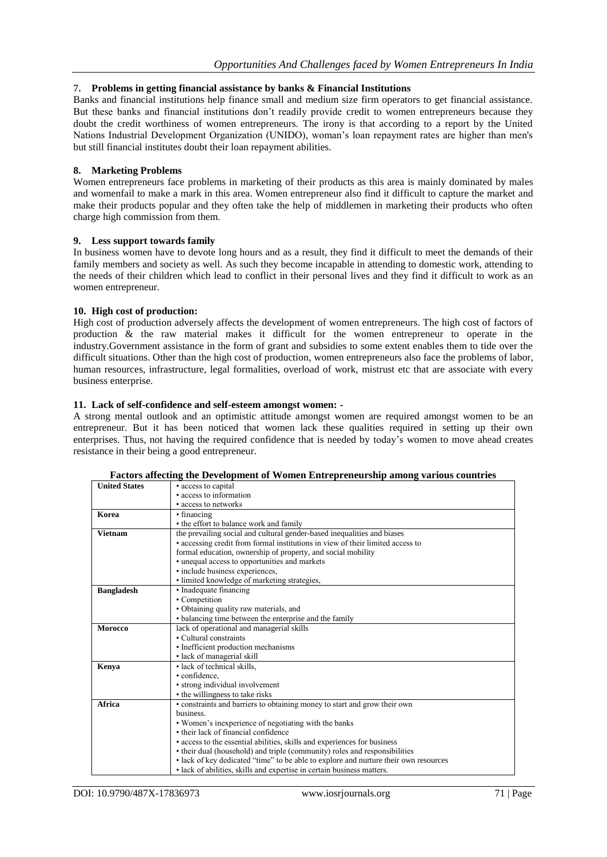## **7. Problems in getting financial assistance by banks & Financial Institutions**

Banks and financial institutions help finance small and medium size firm operators to get financial assistance. But these banks and financial institutions don't readily provide credit to women entrepreneurs because they doubt the credit worthiness of women entrepreneurs. The irony is that according to a report by the United Nations Industrial Development Organization (UNIDO), woman's loan repayment rates are higher than men's but still financial institutes doubt their loan repayment abilities.

#### **8. Marketing Problems**

Women entrepreneurs face problems in marketing of their products as this area is mainly dominated by males and womenfail to make a mark in this area. Women entrepreneur also find it difficult to capture the market and make their products popular and they often take the help of middlemen in marketing their products who often charge high commission from them.

#### **9. Less support towards family**

In business women have to devote long hours and as a result, they find it difficult to meet the demands of their family members and society as well. As such they become incapable in attending to domestic work, attending to the needs of their children which lead to conflict in their personal lives and they find it difficult to work as an women entrepreneur.

#### **10. High cost of production:**

High cost of production adversely affects the development of women entrepreneurs. The high cost of factors of production & the raw material makes it difficult for the women entrepreneur to operate in the industry.Government assistance in the form of grant and subsidies to some extent enables them to tide over the difficult situations. Other than the high cost of production, women entrepreneurs also face the problems of labor, human resources, infrastructure, legal formalities, overload of work, mistrust etc that are associate with every business enterprise.

#### **11. Lack of self-confidence and self-esteem amongst women: -**

A strong mental outlook and an optimistic attitude amongst women are required amongst women to be an entrepreneur. But it has been noticed that women lack these qualities required in setting up their own enterprises. Thus, not having the required confidence that is needed by today's women to move ahead creates resistance in their being a good entrepreneur.

| <b>United States</b> | • access to capital                                                                  |
|----------------------|--------------------------------------------------------------------------------------|
|                      | • access to information                                                              |
|                      | • access to networks                                                                 |
| Korea                | • financing                                                                          |
|                      | • the effort to balance work and family                                              |
| <b>Vietnam</b>       | the prevailing social and cultural gender-based inequalities and biases              |
|                      | • accessing credit from formal institutions in view of their limited access to       |
|                      | formal education, ownership of property, and social mobility                         |
|                      | • unequal access to opportunities and markets                                        |
|                      | · include business experiences,                                                      |
|                      | · limited knowledge of marketing strategies,                                         |
| <b>Bangladesh</b>    | • Inadequate financing                                                               |
|                      | • Competition                                                                        |
|                      | · Obtaining quality raw materials, and                                               |
|                      | • balancing time between the enterprise and the family                               |
| <b>Morocco</b>       | lack of operational and managerial skills                                            |
|                      | • Cultural constraints                                                               |
|                      | • Inefficient production mechanisms                                                  |
|                      | · lack of managerial skill                                                           |
| Kenya                | • lack of technical skills.                                                          |
|                      | • confidence.                                                                        |
|                      | • strong individual involvement                                                      |
|                      | • the willingness to take risks                                                      |
| Africa               | • constraints and barriers to obtaining money to start and grow their own            |
|                      | business.                                                                            |
|                      | • Women's inexperience of negotiating with the banks                                 |
|                      | • their lack of financial confidence                                                 |
|                      | • access to the essential abilities, skills and experiences for business             |
|                      | • their dual (household) and triple (community) roles and responsibilities           |
|                      | • lack of key dedicated "time" to be able to explore and nurture their own resources |
|                      | • lack of abilities, skills and expertise in certain business matters.               |

#### **Factors affecting the Development of Women Entrepreneurship among various countries**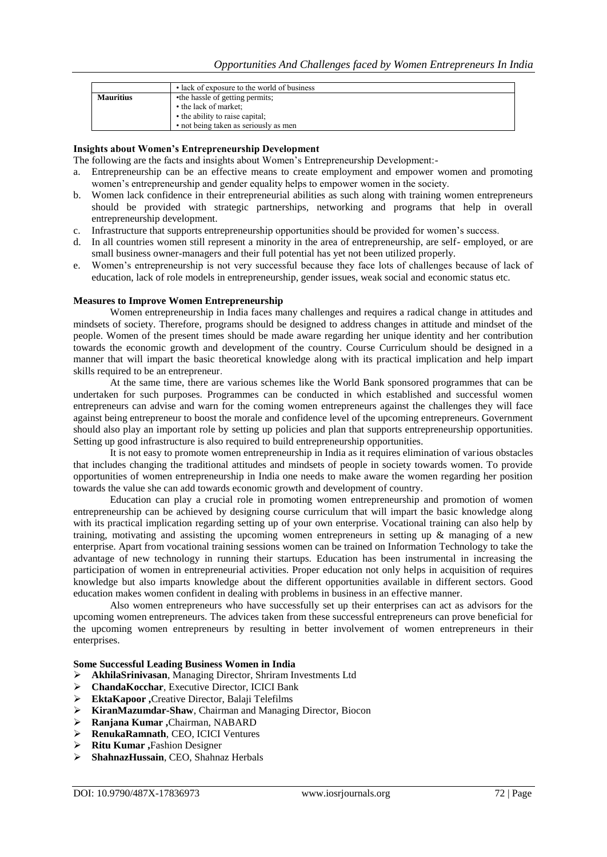|                  | • lack of exposure to the world of business |
|------------------|---------------------------------------------|
| <b>Mauritius</b> | •the hassle of getting permits;             |
|                  | • the lack of market;                       |
|                  | • the ability to raise capital;             |
|                  | • not being taken as seriously as men       |

#### **Insights about Women's Entrepreneurship Development**

The following are the facts and insights about Women's Entrepreneurship Development:-

- a. Entrepreneurship can be an effective means to create employment and empower women and promoting women's entrepreneurship and gender equality helps to empower women in the society.
- b. Women lack confidence in their entrepreneurial abilities as such along with training women entrepreneurs should be provided with strategic partnerships, networking and programs that help in overall entrepreneurship development.
- c. Infrastructure that supports entrepreneurship opportunities should be provided for women's success.
- d. In all countries women still represent a minority in the area of entrepreneurship, are self- employed, or are small business owner-managers and their full potential has yet not been utilized properly.
- e. Women's entrepreneurship is not very successful because they face lots of challenges because of lack of education, lack of role models in entrepreneurship, gender issues, weak social and economic status etc.

#### **Measures to Improve Women Entrepreneurship**

Women entrepreneurship in India faces many challenges and requires a radical change in attitudes and mindsets of society. Therefore, programs should be designed to address changes in attitude and mindset of the people. Women of the present times should be made aware regarding her unique identity and her contribution towards the economic growth and development of the country. Course Curriculum should be designed in a manner that will impart the basic theoretical knowledge along with its practical implication and help impart skills required to be an entrepreneur.

At the same time, there are various schemes like the World Bank sponsored programmes that can be undertaken for such purposes. Programmes can be conducted in which established and successful women entrepreneurs can advise and warn for the coming women entrepreneurs against the challenges they will face against being entrepreneur to boost the morale and confidence level of the upcoming entrepreneurs. Government should also play an important role by setting up policies and plan that supports entrepreneurship opportunities. Setting up good infrastructure is also required to build entrepreneurship opportunities.

It is not easy to promote women entrepreneurship in India as it requires elimination of various obstacles that includes changing the traditional attitudes and mindsets of people in society towards women. To provide opportunities of women entrepreneurship in India one needs to make aware the women regarding her position towards the value she can add towards economic growth and development of country.

Education can play a crucial role in promoting women entrepreneurship and promotion of women entrepreneurship can be achieved by designing course curriculum that will impart the basic knowledge along with its practical implication regarding setting up of your own enterprise. Vocational training can also help by training, motivating and assisting the upcoming women entrepreneurs in setting up  $\&$  managing of a new enterprise. Apart from vocational training sessions women can be trained on Information Technology to take the advantage of new technology in running their startups. Education has been instrumental in increasing the participation of women in entrepreneurial activities. Proper education not only helps in acquisition of requires knowledge but also imparts knowledge about the different opportunities available in different sectors. Good education makes women confident in dealing with problems in business in an effective manner.

Also women entrepreneurs who have successfully set up their enterprises can act as advisors for the upcoming women entrepreneurs. The advices taken from these successful entrepreneurs can prove beneficial for the upcoming women entrepreneurs by resulting in better involvement of women entrepreneurs in their enterprises.

#### **Some Successful Leading Business Women in India**

- **AkhilaSrinivasan**, Managing Director, Shriram Investments Ltd
- **ChandaKocchar**, Executive Director, ICICI Bank
- **EktaKapoor ,**Creative Director, Balaji Telefilms
- **KiranMazumdar-Shaw**, Chairman and Managing Director, Biocon
- **Ranjana Kumar ,**Chairman, NABARD
- **RenukaRamnath**, CEO, ICICI Ventures
- **Ritu Kumar ,**Fashion Designer
- **ShahnazHussain**, CEO, Shahnaz Herbals